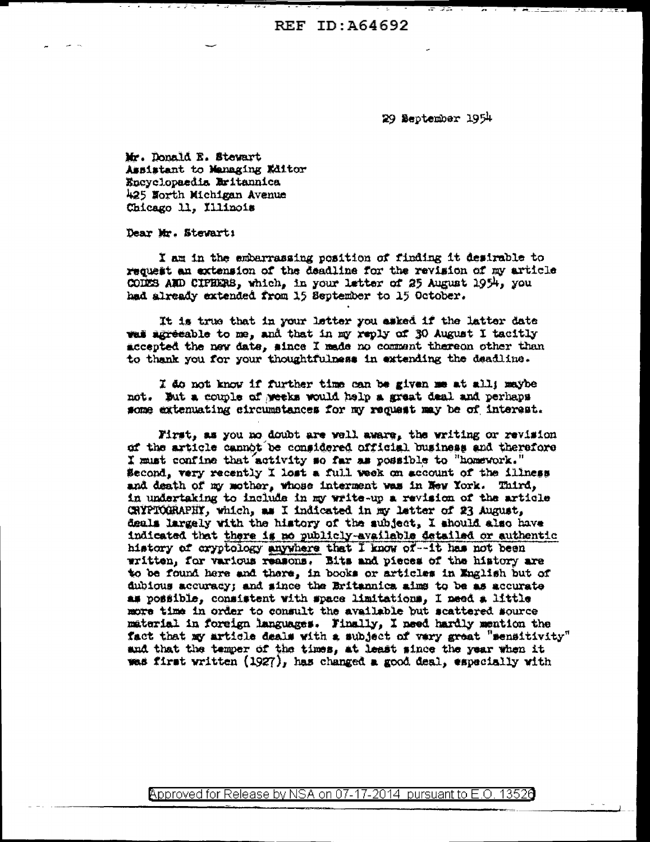REF ID: A64692

29 September 1954

Mr. Donald E. Stewart Assistant to Managing Editor Encyclopaedis Britannica 425 North Michigan Avenue Chicago 11. Illinois

Dear Mr. Stewart:

I am in the embarrassing position of finding it desirable to request an extension of the deadline for the revision of my article CODES AND CIPHERS, which, in your letter of 25 August 1954, you had already extended from 15 September to 15 October.

It is true that in your letter you asked if the latter date was adreeable to me, and that in my reply of 30 August I tacitly accepted the new date, since I made no comment thereon other than to thank you for your thoughtfulness in extending the deadline.

I do not know if further time can be given me at all; maybe not. But a couple of weeks would help a great deal and perhaps some extenuating circumstances for my request may be of interest.

First, as you no doubt are well aware, the writing or revision of the article cannot be considered official business and therefore I must confine that activity so far as possible to "homework." Second, very recently I lost a full week on account of the illness and death of my mother, whose interment was in New York. Third, in undertaking to include in my write-up a revision of the article CRYPTOGRAPHY, which, as I indicated in my latter of 23 August, deals largely with the history of the subject, I should also have indicated that there is no publicly-available detailed or authentic history of cryptology anywhere that I know of--it has not been written, for various reasons. Bits and pieces of the history are to be found here and there, in books or articles in English but of dubious accuracy; and since the Britannica aims to be as accurate as possible, consistent with space limitations, I need a little more time in order to consult the available but scattered source material in foreign languages. Finally, I need hardly mention the fact that my article deals with a subject of vary great "sensitivity" and that the temper of the times, at least since the year when it was first written (1927), has changed a good deal, especially with

Approved for Release by NSA on 07-17-2014 pursuant to E.O. 13526